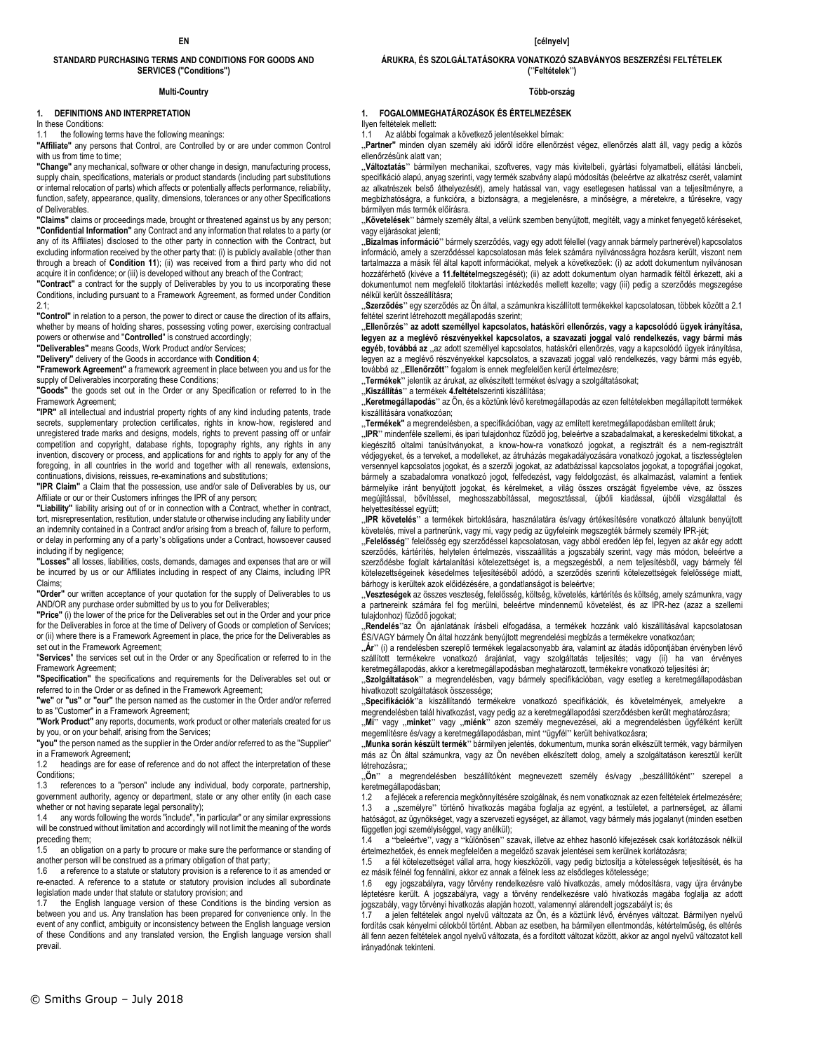## **STANDARD PURCHASING TERMS AND CONDITIONS FOR GOODS AND SERVICES ("Conditions")**

## **Multi-Country**

## **1. DEFINITIONS AND INTERPRETATION**

In these Conditions:

the following terms have the following meanings:

**"Affiliate"** any persons that Control, are Controlled by or are under common Control with us from time to time:

**"Change"** any mechanical, software or other change in design, manufacturing process, supply chain, specifications, materials or product standards (including part substitutions or internal relocation of parts) which affects or potentially affects performance, reliability, function, safety, appearance, quality, dimensions, tolerances or any other Specifications of Deliverables.

**"Claims"** claims or proceedings made, brought or threatened against us by any person; **"Confidential Information"** any Contract and any information that relates to a party (or any of its Affiliates) disclosed to the other party in connection with the Contract, but excluding information received by the other party that: (i) is publicly available (other than through a breach of **Condition 11**); (ii) was received from a third party who did not acquire it in confidence; or (iii) is developed without any breach of the Contract;

**"Contract"** a contract for the supply of Deliverables by you to us incorporating these Conditions, including pursuant to a Framework Agreement, as formed under Condition  $21$ 

**"Control"** in relation to a person, the power to direct or cause the direction of its affairs, whether by means of holding shares, possessing voting power, exercising contractual powers or otherwise and "**Controlled**" is construed accordingly;

**"Deliverables"** means Goods, Work Product and/or Services;

**"Delivery"** delivery of the Goods in accordance with **Condition 4**;

**"Framework Agreement"** a framework agreement in place between you and us for the supply of Deliverables incorporating these Conditions;

**"Goods"** the goods set out in the Order or any Specification or referred to in the Framework Agreement;

**"IPR"** all intellectual and industrial property rights of any kind including patents, trade secrets, supplementary protection certificates, rights in know-how, registered and unregistered trade marks and designs, models, rights to prevent passing off or unfair competition and copyright, database rights, topography rights, any rights in any invention, discovery or process, and applications for and rights to apply for any of the foregoing, in all countries in the world and together with all renewals, extensions, continuations, divisions, reissues, re-examinations and substitutions;

**"IPR Claim"** a Claim that the possession, use and/or sale of Deliverables by us, our Affiliate or our or their Customers infringes the IPR of any person;

**"Liability"** liability arising out of or in connection with a Contract, whether in contract, tort, misrepresentation, restitution, under statute or otherwise including any liability under an indemnity contained in a Contract and/or arising from a breach of, failure to perform, or delay in performing any of a party's obligations under a Contract, howsoever caused including if by negligence;

**"Losses"** all losses, liabilities, costs, demands, damages and expenses that are or will be incurred by us or our Affiliates including in respect of any Claims, including IPR Claims;

**"Order"** our written acceptance of your quotation for the supply of Deliverables to us AND/OR any purchase order submitted by us to you for Deliverables;

**"Price"** (i) the lower of the price for the Deliverables set out in the Order and your price for the Deliverables in force at the time of Delivery of Goods or completion of Services; or (ii) where there is a Framework Agreement in place, the price for the Deliverables as set out in the Framework Agreement;

"**Services**" the services set out in the Order or any Specification or referred to in the Framework Agreement;

**"Specification"** the specifications and requirements for the Deliverables set out or referred to in the Order or as defined in the Framework Agreement;

**"we"** or **"us"** or **"our"** the person named as the customer in the Order and/or referred to as "Customer" in a Framework Agreement;

**"Work Product"** any reports, documents, work product or other materials created for us by you, or on your behalf, arising from the Services;

**"you"** the person named as the supplier in the Order and/or referred to as the "Supplier" in a Framework Agreement;

1.2 headings are for ease of reference and do not affect the interpretation of these Conditions;

1.3 references to a "person" include any individual, body corporate, partnership, government authority, agency or department, state or any other entity (in each case whether or not having separate legal personality);

1.4 any words following the words "include", "in particular" or any similar expressions will be construed without limitation and accordingly will not limit the meaning of the words preceding them;

1.5 an obligation on a party to procure or make sure the performance or standing of another person will be construed as a primary obligation of that party;

1.6 a reference to a statute or statutory provision is a reference to it as amended or re-enacted. A reference to a statute or statutory provision includes all subordinate legislation made under that statute or statutory provision; and

1.7 the English language version of these Conditions is the binding version as between you and us. Any translation has been prepared for convenience only. In the event of any conflict, ambiguity or inconsistency between the English language version of these Conditions and any translated version, the English language version shall prevail.

**EN [célnyelv]**

## **ÁRUKRA, ÉS SZOLGÁLTATÁSOKRA VONATKOZÓ SZABVÁNYOS BESZERZÉSI FELTÉTELEK (**"**Feltételek**"**)**

## **Több-ország**

### **1. FOGALOMMEGHATÁROZÁSOK ÉS ÉRTELMEZÉSEK**

Ilyen feltételek mellett:

1.1 Az alábbi fogalmak a következő jelentésekkel bírnak:

"Partner" minden olyan személy aki időről időre ellenőrzést végez, ellenőrzés alatt áll, vagy pedig a közös ellenőrzésünk alatt van;

"Változtatás" bármilyen mechanikai, szoftveres, vagy más kivitelbeli, gyártási folyamatbeli, ellátási láncbeli, specifikáció alapú, anyag szerinti, vagy termék szabvány alapú módosítás (beleértve az alkatrész cserét, valamint az alkatrészek belső áthelyezését), amely hatással van, vagy esetlegesen hatással van a teljesítményre, a megbízhatóságra, a funkcióra, a biztonságra, a megjelenésre, a minőségre, a méretekre, a tűrésekre, vagy bármilyen más termék előírásra.

"Követelések" bármely személy által, a velünk szemben benyújtott, megítélt, vagy a minket fenyegető kéréseket, vagy eljárásokat jelenti;

"**Bizalmas információ**" bármely szerződés, vagy egy adott félellel (vagy annak bármely partnerével) kapcsolatos információ, amely a szerződéssel kapcsolatosan más felek számára nyilvánosságra hozásra került, viszont nem tartalmazza a másik fél által kapott információkat, melyek a következőek: (i) az adott dokumentum nyilvánosan hozzáférhető (kivéve a **11.feltétel**megszegését); (ii) az adott dokumentum olyan harmadik féltől érkezett, aki a dokumentumot nem megfelelő titoktartási intézkedés mellett kezelte; vagy (iii) pedig a szerződés megszegése nélkül került összeállításra;

"**Szerződés**" egy szerződés az Ön által, a számunkra kiszállított termékekkel kapcsolatosan, többek között a 2.1 feltétel szerint létrehozott megállapodás szerint;

"**Ellenőrzés**" **az adott személlyel kapcsolatos, hatásköri ellenőrzés, vagy a kapcsolódó ügyek irányítása, legyen az a meglévő részvényekkel kapcsolatos, a szavazati joggal való rendelkezés, vagy bármi más**  egyéb, továbbá az "az adott személlyel kapcsolatos, hatásköri ellenőrzés, vagy a kapcsolódó ügyek irányítása, legyen az a meglévő részvényekkel kapcsolatos, a szavazati joggal való rendelkezés, vagy bármi más egyéb, továbbá az "Ellenőrzött" fogalom is ennek megfelelően kerül értelmezésre;

"**Termékek**" jelentik az árukat, az elkészített terméket és/vagy a szolgáltatásokat;

"**Kiszállítás**" a termékek **4.feltétel**szerinti kiszállítása;

"**Keretmegállapodás**" az Ön, és a köztünk lévő keretmegállapodás az ezen feltételekben megállapított termékek kiszállítására vonatkozóan;

"**Termékek"** a megrendelésben, a specifikációban, vagy az említett keretmegállapodásban említett áruk;

"**IPR**" mindenféle szellemi, és ipari tulajdonhoz fűződő jog, beleértve a szabadalmakat, a kereskedelmi titkokat, a kiegészítő oltalmi tanúsítványokat, a know-how-ra vonatkozó jogokat, a regisztrált és a nem-regisztrált védjegyeket, és a terveket, a modelleket, az átruházás megakadályozására vonatkozó jogokat, a tisztességtelen versennyel kapcsolatos jogokat, és a szerzői jogokat, az adatbázissal kapcsolatos jogokat, a topográfiai jogokat, bármely a szabadalomra vonatkozó jogot, felfedezést, vagy feldolgozást, és alkalmazást, valamint a fentiek bármelyike iránt benyújtott jogokat, és kérelmeket, a világ összes országát figyelembe véve, az összes megújítással, bővítéssel, meghosszabbítással, megosztással, újbóli kiadással, újbóli vizsgálattal és helyettesítéssel együtt;

"IPR követelés<sup>»</sup> a termékek birtoklására, használatára és/vagy értékesítésére vonatkozó általunk benyújtott

követelés, mivel a partnerünk, vagy mi, vagy pedig az ügyfeleink megszegték bármely személy IPR-jét;<br>"**Felelősség**" felelősség egy szerződéssel kapcsolatosan, vagy abból eredően lép fel, legyen az akár egy adott szerződés, kártérítés, helytelen értelmezés, visszaállítás a jogszabály szerint, vagy más módon, beleértve a szerződésbe foglalt kártalanítási kötelezettséget is, a megszegésből, a nem teljesítésből, vagy bármely fél kötelezettségeinek késedelmes teljesítéséből adódó, a szerződés szerinti kötelezettségek felelőssége miatt, bárhogy is kerültek azok előidézésére, a gondatlanságot is beleértve;

"**Veszteségek** az összes veszteség, felelősség, költség, követelés, kártérítés és költség, amely számunkra, vagy a partnereink számára fel fog merülni, beleértve mindennemű követelést, és az IPR-hez (azaz a szellemi tulajdonhoz) fűződő jogokat;

"**Rendelés**"az Ön ajánlatának írásbeli elfogadása, a termékek hozzánk való kiszállításával kapcsolatosan ÉS/VAGY bármely Ön által hozzánk benyújtott megrendelési megbízás a termékekre vonatkozóan;

"Ár" (i) a rendelésben szereplő termékek legalacsonyabb ára, valamint az átadás időpontjában érvényben lévő szállított termékekre vonatkozó árajánlat, vagy szolgáltatás teljesítés; vagy (ii) ha van érvényes keretmegállapodás, akkor a keretmegállapodásban meghatározott, termékekre vonatkozó teljesítési ár;

"**Szolgáltatások**" a megrendelésben, vagy bármely specifikációban, vagy esetleg a keretmegállapodásban hivatkozott szolgáltatások összessége;

"Specifikációk<sup>y</sup>a kiszállítandó termékekre vonatkozó specifikációk, és követelmények, amelyekre megrendelésben talál hivatkozást, vagy pedig az a keretmegállapodási szerződésben került meghatározásra;

"**Mi**" vagy "**minket**" vagy "**miénk**" azon személy megnevezései, aki a megrendelésben ügyfélként került megemlítésre és/vagy a keretmegállapodásban, mint "ügyfél" került behivatkozásra;

"**Munka során készült termék**" bármilyen jelentés, dokumentum, munka során elkészült termék, vagy bármilyen más az Ön által számunkra, vagy az Ön nevében elkészített dolog, amely a szolgáltatáson keresztül került létrehozásra<sup>..</sup>

"Ön" a megrendelésben beszállítóként megnevezett személy és/vagy "beszállítóként" szerepel a keretmegállapodásban;

1.2 a fejlécek a referencia megkönnyítésére szolgálnak, és nem vonatkoznak az ezen feltételek értelmezésére;<br>1.3 a személyre<sup>3</sup> történő hivatkozás magába foglalja az egyént, a testületet, a partnerséget, az állami a "személyre" történő hivatkozás magába foglalja az egyént, a testületet, a partnerséget, az állami hatóságot, az ügynökséget, vagy a szervezeti egységet, az államot, vagy bármely más jogalanyt (minden esetben független jogi személyiséggel, vagy anélkül);

1.4 a "beleértve", vagy a "különösen" szavak, illetve az ehhez hasonló kifejezések csak korlátozások nélkül értelmezhetőek, és ennek megfelelően a megelőző szavak jelentései sem kerülnek korlátozásra;

1.5 a fél kötelezettséget vállal arra, hogy kieszközöli, vagy pedig biztosítja a kötelességek teljesítését, és ha ez másik félnél fog fennállni, akkor ez annak a félnek less az elsődleges kötelessége;

1.6 egy jogszabályra, vagy törvény rendelkezésre való hivatkozás, amely módosításra, vagy újra érványbe léptetésre került. A jogszabályra, vagy a törvény rendelkezésre való hivatkozás magába foglalja az adott jogszabály, vagy törvényi hivatkozás alapján hozott, valamennyi alárendelt jogszabályt is; és

1.7 a jelen feltételek angol nyelvű változata az Ön, és a köztünk lévő, érvényes változat. Bármilyen nyelvű fordítás csak kényelmi célokból történt. Abban az esetben, ha bármilyen ellentmondás, kétértelműség, és eltérés áll fenn aezen feltételek angol nyelvű változata, és a fordított változat között, akkor az angol nyelvű változatot kell irányadónak tekinteni.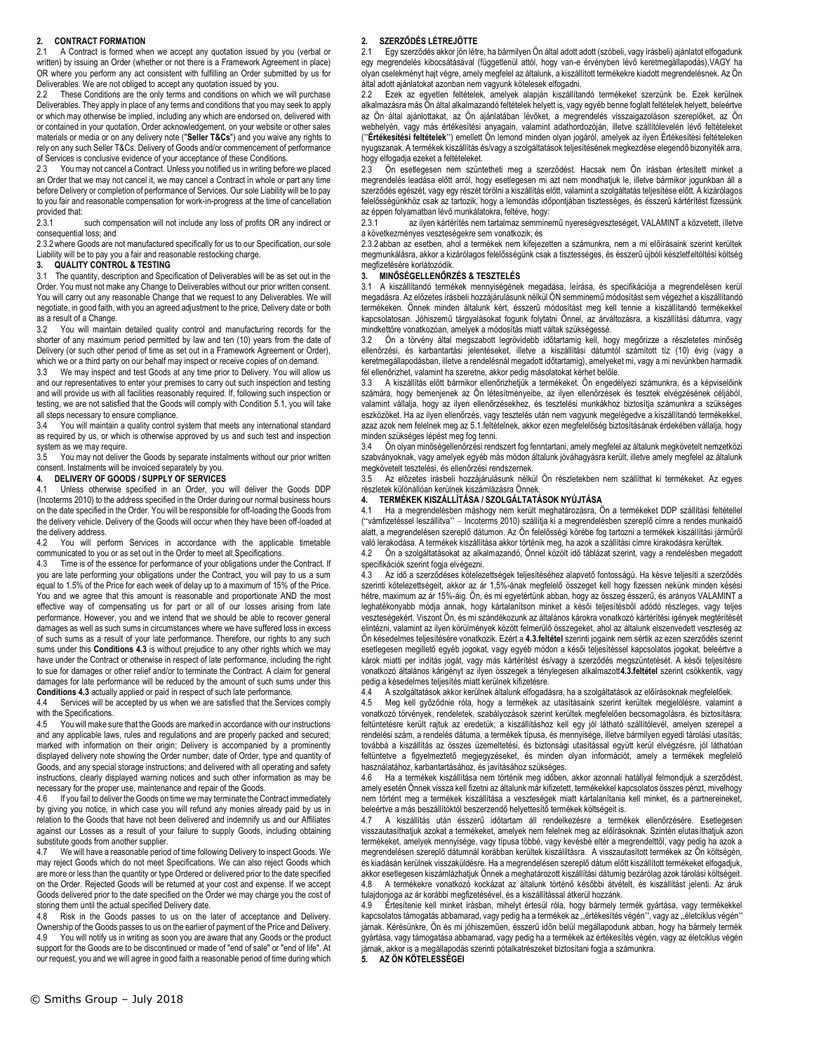## **2. CONTRACT FORMATION**

2.1 A Contract is formed when we accept any quotation issued by you (verbal or written) by issuing an Order (whether or not there is a Framework Agreement in place) OR where you perform any act consistent with fulfilling an Order submitted by us for Deliverables. We are not obliged to accept any quotation issued by you.

These Conditions are the only terms and conditions on which we will purchase Deliverables. They apply in place of any terms and conditions that you may seek to apply or which may otherwise be implied, including any which are endorsed on, delivered with or contained in your quotation, Order acknowledgement, on your website or other sales materials or media or on any delivery note ("**Seller T&Cs**") and you waive any rights to rely on any such Seller T&Cs. Delivery of Goods and/or commencement of performance of Services is conclusive evidence of your acceptance of these Conditions.

2.3 You may not cancel a Contract. Unless you notified us in writing before we placed an Order that we may not cancel it, we may cancel a Contract in whole or part any time before Delivery or completion of performance of Services. Our sole Liability will be to pay to you fair and reasonable compensation for work-in-progress at the time of cancellation provided that:

2.3.1 such compensation will not include any loss of profits OR any indirect or consequential loss; and

2.3.2where Goods are not manufactured specifically for us to our Specification, our sole Liability will be to pay you a fair and reasonable restocking charge.

#### **3. QUALITY CONTROL & TESTING**

3.1 The quantity, description and Specification of Deliverables will be as set out in the Order. You must not make any Change to Deliverables without our prior written consent. You will carry out any reasonable Change that we request to any Deliverables. We will negotiate, in good faith, with you an agreed adjustment to the price, Delivery date or both as a result of a Change.

3.2 You will maintain detailed quality control and manufacturing records for the shorter of any maximum period permitted by law and ten (10) years from the date of Delivery (or such other period of time as set out in a Framework Agreement or Order), which we or a third party on our behalf may inspect or receive copies of on demand.

3.3 We may inspect and test Goods at any time prior to Delivery. You will allow us and our representatives to enter your premises to carry out such inspection and testing and will provide us with all facilities reasonably required. If, following such inspection or testing, we are not satisfied that the Goods will comply with Condition 5.1, you will take all steps necessary to ensure compliance.

3.4 You will maintain a quality control system that meets any international standard as required by us, or which is otherwise approved by us and such test and inspection system as we may require.

3.5 You may not deliver the Goods by separate instalments without our prior written consent. Instalments will be invoiced separately by you.

#### **4. DELIVERY OF GOODS / SUPPLY OF SERVICES**

4.1 Unless otherwise specified in an Order, you will deliver the Goods DDP (Incoterms 2010) to the address specified in the Order during our normal business hours on the date specified in the Order. You will be responsible for off-loading the Goods from the delivery vehicle. Delivery of the Goods will occur when they have been off-loaded at the delivery address.

4.2 You will perform Services in accordance with the applicable timetable communicated to you or as set out in the Order to meet all Specifications.

4.3 Time is of the essence for performance of your obligations under the Contract. If you are late performing your obligations under the Contract, you will pay to us a sum equal to 1.5% of the Price for each week of delay up to a maximum of 15% of the Price. You and we agree that this amount is reasonable and proportionate AND the most effective way of compensating us for part or all of our losses arising from late performance. However, you and we intend that we should be able to recover general damages as well as such sums in circumstances where we have suffered loss in excess of such sums as a result of your late performance. Therefore, our rights to any such sums under this **Conditions 4.3** is without prejudice to any other rights which we may have under the Contract or otherwise in respect of late performance, including the right to sue for damages or other relief and/or to terminate the Contract. A claim for general damages for late performance will be reduced by the amount of such sums under this **Conditions 4.3** actually applied or paid in respect of such late performance.

4.4 Services will be accepted by us when we are satisfied that the Services comply with the Specifications.

4.5 You will make sure that the Goods are marked in accordance with our instructions and any applicable laws, rules and regulations and are properly packed and secured; marked with information on their origin; Delivery is accompanied by a prominently displayed delivery note showing the Order number, date of Order, type and quantity of Goods, and any special storage instructions; and delivered with all operating and safety instructions, clearly displayed warning notices and such other information as may be necessary for the proper use, maintenance and repair of the Goods.

4.6 If you fail to deliver the Goods on time we may terminate the Contract immediately by giving you notice, in which case you will refund any monies already paid by us in relation to the Goods that have not been delivered and indemnify us and our Affiliates against our Losses as a result of your failure to supply Goods, including obtaining substitute goods from another supplier.

4.7 We will have a reasonable period of time following Delivery to inspect Goods. We may reject Goods which do not meet Specifications. We can also reject Goods which are more or less than the quantity or type Ordered or delivered prior to the date specified on the Order. Rejected Goods will be returned at your cost and expense. If we accept Goods delivered prior to the date specified on the Order we may charge you the cost of storing them until the actual specified Delivery date.

4.8 Risk in the Goods passes to us on the later of acceptance and Delivery. Ownership of the Goods passes to us on the earlier of payment of the Price and Delivery. 4.9 You will notify us in writing as soon you are aware that any Goods or the product support for the Goods are to be discontinued or made of "end of sale" or "end of life". At our request, you and we will agree in good faith a reasonable period of time during which

## **2. SZERZŐDÉS LÉTREJÖTTE**

2.1 Egy szerződés akkor jön létre, ha bármilyen Ön által adott adott (szóbeli, vagy írásbeli) ajánlatot elfogadunk egy megrendelés kibocsátásával (függetlenül attól, hogy van-e érvényben lévő keretmegállapodás),VAGY ha olyan cselekményt hajt végre, amely megfelel az általunk, a kiszállított termékekre kiadott megrendelésnek. Az Ön által adott ajánlatokat azonban nem vagyunk kötelesek elfogadni.

Ezek az egyetlen feltételek, amelyek alapján kiszállítandó termékeket szerzünk be. Ezek kerülnek alkalmazásra más Ön által alkalmazandó feltételek helyett is, vagy egyéb benne foglalt feltételek helyett, beleértve az Ön által ajánlottakat, az Ön ajánlatában lévőket, a megrendelés visszaigazoláson szereplőket, az Ön webhelyén, vagy más értékesítési anyagain, valamint adathordozóján, illetve szállítólevelén lévő feltételeket ("**Értékesítési feltételek**") emellett Ön lemond minden olyan jogáról, amelyek az ilyen Értékesítési feltételeken nyugszanak. A termékek kiszállítás és/vagy a szolgáltatások teljesítésének megkezdése elegendő bizonyíték arra, hogy elfogadja ezeket a feltételeket.

2.3 Ön esetlegesen nem szüntetheti meg a szerződést. Hacsak nem Ön írásban értesített minket a megrendelés leadása előtt arról, hogy esetlegesen mi azt nem mondhatjuk le, illetve bármikor jogunkban áll a szerződés egészét, vagy egy részét törölni a kiszállítás előtt, valamint a szolgáltatás teljesítése előtt. A kizárólagos felelősségünkhöz csak az tartozik, hogy a lemondás időpontjában tisztességes, és ésszerű kártérítést fizessünk az éppen folyamatban lévő munkálatokra, feltéve, hogy:

2.3.1 az ilyen kártérítés nem tartalmaz semminemű nyereségveszteséget, VALAMINT a közvetett, illetve a következményes veszteségekre sem vonatkozik; és

2.3.2 abban az esetben, ahol a termékek nem kifejezetten a számunkra, nem a mi előírásaink szerint kerültek megmunkálásra, akkor a kizárólagos felelősségünk csak a tisztességes, és ésszerű újbóli készletfeltöltési költség megfizetésére korlátozódik.

## **3. MINŐSÉGELLENŐRZÉS & TESZTELÉS**

3.1 A kiszállítandó termékek mennyiségének megadása, leírása, és specifikációja a megrendelésen kerül megadásra. Az előzetes írásbeli hozzájárulásunk nélkül ÖN semminemű módosítást sem végezhet a kiszállítandó termékeken. Önnek minden általunk kért, ésszerű módosítást meg kell tennie a kiszállítandó termékekkel kapcsolatosan. Jóhiszemű tárgyalásokat fogunk folytatni Önnel, az árváltozásra, a kiszállítási dátumra, vagy mindkettőre vonatkozóan, amelyek a módosítás miatt váltak szükségessé.

3.2 Ön a törvény által megszabott legrövidebb időtartamig kell, hogy megőrizze a részletetes minőség ellenőrzési, és karbantartási jelentéseket, illetve a kiszállítási dátumtól számított tíz (10) évig (vagy a keretmegállapodásban, illetve a rendelésnál megadott időtartamig), amelyeket mi, vagy a mi nevünkben harmadik fél ellenőrizhet, valamint ha szeretne, akkor pedig másolatokat kérhet belőle.

3.3 A kiszállítás előtt bármikor ellenőrizhetjük a termékeket. Ön engedélyezi számunkra, és a képviselőink számára, hogy bemenjenek az Ön létesítményeibe, az ilyen ellenőrzések és tesztek elvégzésének céljából, valamint vállalja, hogy az ilyen ellenőrzésekhez, és tesztelési munkákhoz biztosítja számunkra a szükséges eszközöket. Ha az ilyen ellenőrzés, vagy tesztelés után nem vagyunk megelégedve a kiszállítandó termékekkel, azaz azok nem felelnek meg az 5.1.feltételnek, akkor ezen megfelelőség biztosításának érdekében vállalja, hogy minden szükséges lépést meg fog tenni.

3.4 Ön olyan minőségellenőrzési rendszert fog fenntartani, amely megfelel az általunk megkövetelt nemzetközi szabványoknak, vagy amelyek egyéb más módon általunk jóváhagyásra került, illetve amely megfelel az általunk megkövetelt tesztelési, és ellenőrzési rendszernek.

3.5 Az előzetes írásbeli hozzájárulásunk nélkül Ön részletekben nem szállíthat ki termékeket. Az egyes részletek különállóan kerülnek kiszámlázásra Önnek.

## **4. TERMÉKEK KISZÁLLÍTÁSA / SZOLGÁLTATÁSOK NYÚJTÁSA**

4.1 Ha a megrendelésben máshogy nem került meghatározásra, Ön a termékeket DDP szállítási feltétellel ("vámfizetéssel leszállítva" – Incoterms 2010) szállítja ki a megrendelésben szereplő címre a rendes munkaidő alatt, a megrendelésen szereplő dátumon. Az Ön felelősségi körébe fog tartozni a termékek kiszállítási járműről való lerakodása. A termékek kiszállítása akkor történik meg, ha azok a szállítási címre kirakodásra kerültek.

4.2 Ön a szolgáltatásokat az alkalmazandó, Önnel közölt idő táblázat szerint, vagy a rendelésben megadott specifikációk szerint fogja elvégezni.

4.3 Az idő a szerződéses kötelezettségek teljesítéséhez alapvető fontosságú. Ha késve teljesíti a szerződés szerinti kötelezettségeit, akkor az ár 1,5%-ának megfelelő összeget kell hogy fizessen nekünk minden késési hétre, maximum az ár 15%-áig. Ön, és mi egyetértünk abban, hogy az összeg ésszerű, és arányos VALAMINT a leghatékonyabb módja annak, hogy kártalanítson minket a késői teljesítésből adódó részleges, vagy teljes veszteségekért. Viszont Ön, és mi szándékozunk az általános károkra vonatkozó kártérítési igények megtérítését elintézni, valamint az ilyen körülmények között felmerülő összegeket, ahol az általunk elszenvedett veszteség az Ön késedelmes teljesítésére vonatkozik. Ezért a **4.3.feltétel** szerinti jogaink nem sértik az ezen szerződés szerint esetlegesen megillető egyéb jogokat, vagy egyéb módon a késői teljesítéssel kapcsolatos jogokat, beleértve a károk miatti per indítás jogát, vagy más kártérítést és/vagy a szerződés megszüntetését. A késői teljesítésre vonatkozó általános kárigényt az ilyen összegek a ténylegesen alkalmazott**4.3.feltétel** szerint csökkentik, vagy pedig a késedelmes teljesítés miatt kerülnek kifizetésre.

4.4 A szolgáltatások akkor kerülnek általunk elfogadásra, ha a szolgáltatások az előírásoknak megfelelőek.

4.5 Meg kell győződnie róla, hogy a termékek az utasításaink szerint kerültek megjelölésre, valamint a vonatkozó törvények, rendeletek, szabályozások szerint kerültek megfelelően becsomagolásra, és biztosításra; feltüntetésre került rajtuk az eredetük; a kiszállításhoz kell egy jól látható szállítólevél, amelyen szerepel a rendelési szám, a rendelés dátuma, a termékek típusa, és mennyisége, illetve bármilyen egyedi tárolási utasítás; továbbá a kiszállítás az összes üzemeltetési, és biztonsági utasítással együtt kerül elvégzésre, jól láthatóan feltüntetve a figyelmeztető megjegyzéseket, és minden olyan információt, amely a termékek megfelelő használatához, karbantartásához, és javításához szükséges.

4.6 Ha a termékek kiszállítása nem történik meg időben, akkor azonnali hatállyal felmondjuk a szerződést, amely esetén Önnek vissza kell fizetni az általunk már kifizetett, termékekkel kapcsolatos összes pénzt, mivelhogy nem történt meg a termékek kiszállítása a veszteségek miatt kártalanítania kell minket, és a partnereineket, beleértve a más beszállítóktól beszerzendő helyettesítő termékek költségeit is.

4.7 A kiszállítás után ésszerű időtartam áll rendelkezésre a termékek ellenőrzésére. Esetlegesen visszautasíthatjuk azokat a termékeket, amelyek nem felelnek meg az előírásoknak. Szintén elutasíthatjuk azon termékeket, amelyek mennyisége, vagy típusa többé, vagy kevésbé eltér a megrendelttől, vagy pedig ha azok a megrendelésen szereplő dátumnál korábban kerültek kiszálíltásra. A visszautasított termékek az Ön költségén, és kiadásán kerülnek visszaküldésre. Ha a megrendelésen szereplő dátum előtt kiszállított termékeket elfogadjuk, akkor esetlegesen kiszámlázhatjuk Önnek a meghatározott kiszállítási dátumig bezárólag azok tárolási költségeit. 4.8 A termékekre vonatkozó kockázat az általunk történő későbbi átvételt, és kiszállítást jelenti. Az áruk tulajdonjoga az ár korábbi megfizetésével, és a kiszállítással átkerül hozzánk.

4.9 Értesítenie kell minket írásban, mihelyt értesül róla, hogy bármely termék gyártása, vagy termékekkel kapcsolatos támogatás abbamarad, vagy pedig ha a termékek az "értékesítés végén", vagy az "életciklus végén" járnak. Kérésünkre, Ön és mi jóhiszeműen, ésszerű időn belül megállapodunk abban, hogy ha bármely termék gyártása, vagy támogatása abbamarad, vagy pedig ha a termékek az értékesítés végén, vagy az életciklus végén járnak, akkor is a megállapodás szerinti pótalkatrészeket biztosítani fogja a számunkra. **5. AZ ÖN KÖTELESSÉGEI**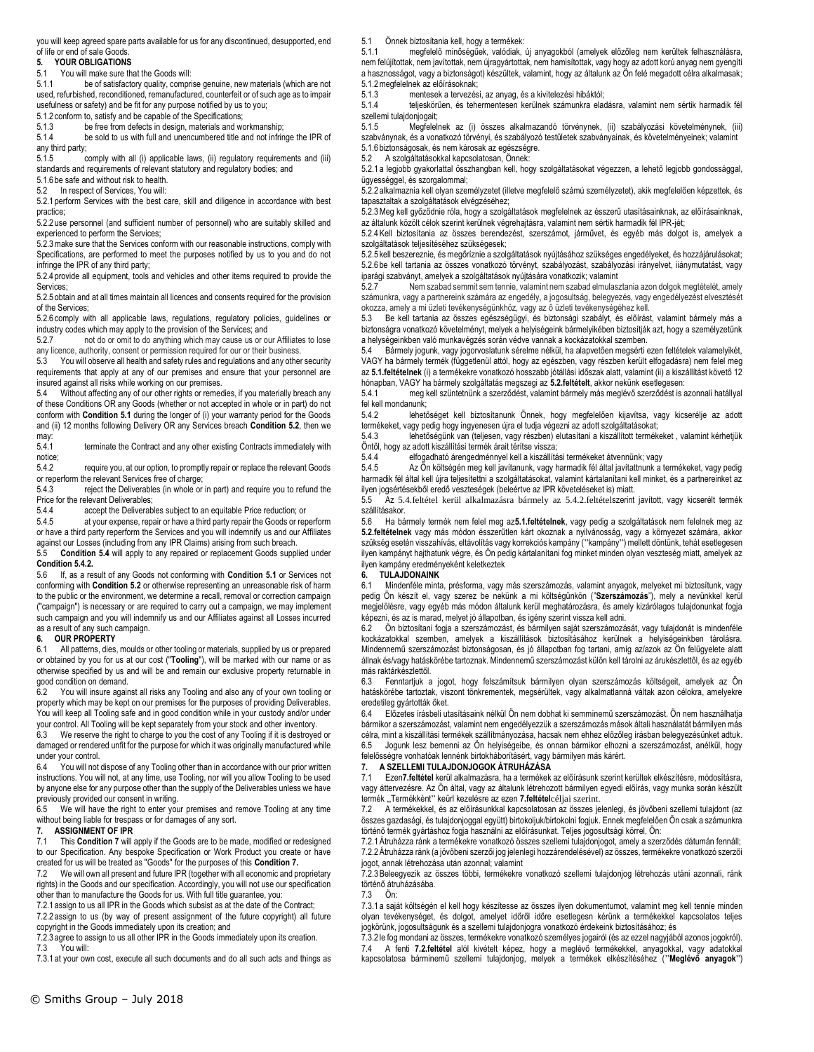you will keep agreed spare parts available for us for any discontinued, desupported, end of life or end of sale Goods.<br>5. YOUR OBLIGATIONS

#### **5. YOUR OBLIGATIONS**

5.1 You will make sure that the Goods will:

5.1.1 be of satisfactory quality, comprise genuine, new materials (which are not used, refurbished, reconditioned, remanufactured, counterfeit or of such age as to impair usefulness or safety) and be fit for any purpose notified by us to you;

5.1.2 conform to, satisfy and be capable of the Specifications;<br>5.1.3 be free from defects in design. materials and we

5.1.3 be free from defects in design, materials and workmanship;<br>5.1.4 be sold to us with full and unencumbered title and not infrin be sold to us with full and unencumbered title and not infringe the IPR of

any third party;<br>5.1.5 comply with all (i) applicable laws, (ii) regulatory reguirements and (iii) standards and requirements of relevant statutory and regulatory bodies; and

5.1.6 be safe and without risk to health.

5.2 In respect of Services, You will:

5.2.1 perform Services with the best care, skill and diligence in accordance with best practice;

5.2.2 use personnel (and sufficient number of personnel) who are suitably skilled and experienced to perform the Services;

5.2.3make sure that the Services conform with our reasonable instructions, comply with Specifications, are performed to meet the purposes notified by us to you and do not infringe the IPR of any third party;

5.2.4 provide all equipment, tools and vehicles and other items required to provide the Services;

5.2.5 obtain and at all times maintain all licences and consents required for the provision of the Services;

5.2.6 comply with all applicable laws, regulations, regulatory policies, guidelines or industry codes which may apply to the provision of the Services; and

5.2.7 not do or omit to do anything which may cause us or our Affiliates to lose any licence, authority, consent or permission required for our or their business.

5.3 You will observe all health and safety rules and regulations and any other security requirements that apply at any of our premises and ensure that your personnel are

insured against all risks while working on our premises.<br>5.4 Without affecting any of our other rights or remed Without affecting any of our other rights or remedies, if you materially breach any of these Conditions OR any Goods (whether or not accepted in whole or in part) do not conform with **Condition 5.1** during the longer of (i) your warranty period for the Goods and (ii) 12 months following Delivery OR any Services breach **Condition 5.2**, then we may:

5.4.1 terminate the Contract and any other existing Contracts immediately with notice;<br>542

require you, at our option, to promptly repair or replace the relevant Goods or reperform the relevant Services free of charge;

5.4.3 reject the Deliverables (in whole or in part) and require you to refund the Price for the relevant Deliverables;

5.4.4 accept the Deliverables subject to an equitable Price reduction; or

5.4.5 at your expense, repair or have a third party repair the Goods or reperform or have a third party reperform the Services and you will indemnify us and our Affiliates against our Losses (including from any IPR Claims) arising from such breach.

5.5 **Condition 5.4** will apply to any repaired or replacement Goods supplied under **Condition 5.4.2.**<br>5.6 If. as a rea

5.6 If, as a result of any Goods not conforming with **Condition 5.1** or Services not conforming with **Condition 5.2** or otherwise representing an unreasonable risk of harm to the public or the environment, we determine a recall, removal or correction campaign ("campaign") is necessary or are required to carry out a campaign, we may implement such campaign and you will indemnify us and our Affiliates against all Losses incurred as a result of any such campaign.

# **6. OUR PROPERTY**

6.1 All patterns, dies, moulds or other tooling or materials, supplied by us or prepared or obtained by you for us at our cost ("**Tooling**"), will be marked with our name or as otherwise specified by us and will be and remain our exclusive property returnable in good condition on demand.

6.2 You will insure against all risks any Tooling and also any of your own tooling or property which may be kept on our premises for the purposes of providing Deliverables. You will keep all Tooling safe and in good condition while in your custody and/or under your control. All Tooling will be kept separately from your stock and other inventory.

6.3 We reserve the right to charge to you the cost of any Tooling if it is destroyed or damaged or rendered unfit for the purpose for which it was originally manufactured while under your control.

6.4 You will not dispose of any Tooling other than in accordance with our prior written instructions. You will not, at any time, use Tooling, nor will you allow Tooling to be used by anyone else for any purpose other than the supply of the Deliverables unless we have previously provided our consent in writing.

6.5 We will have the right to enter your premises and remove Tooling at any time without being liable for trespass or for damages of any sort.

## **7. ASSIGNMENT OF IPR**

7.1 This **Condition 7** will apply if the Goods are to be made, modified or redesigned to our Specification. Any bespoke Specification or Work Product you create or have created for us will be treated as "Goods" for the purposes of this **Condition 7.**

7.2 We will own all present and future IPR (together with all economic and proprietary rights) in the Goods and our specification. Accordingly, you will not use our specification

other than to manufacture the Goods for us. With full title guarantee, you: 7.2.1 assign to us all IPR in the Goods which subsist as at the date of the Contract;

7.2.2 assign to us (by way of present assignment of the future copyright) all future

copyright in the Goods immediately upon its creation; and 7.2.3 agree to assign to us all other IPR in the Goods immediately upon its creation.

7.3 You will:

7.3.1 at your own cost, execute all such documents and do all such acts and things as

5.1 Önnek biztosítania kell, hogy a termékek:<br>5.1.1 megfelelő minőségűek, valódiak.

5.1.1 megfelelő minőségűek, valódiak, új anyagokból (amelyek előzőleg nem kerültek felhasználásra, nem felújítottak, nem javítottak, nem újragyártottak, nem hamisítottak, vagy hogy az adott korú anyag nem gyengíti a hasznosságot, vagy a biztonságot) készültek, valamint, hogy az általunk az Ön felé megadott célra alkalmasak; 5.1.2megfelelnek az előírásoknak;

5.1.3 mentesek a tervezési, az anyag, és a kivitelezési hibáktól;

5.1.4 teljeskörűen, és tehermentesen kerülnek számunkra eladásra, valamint nem sértik harmadik fél szellemi tulajdonjogait;<br>5.1.5 Megfelel

5.1.5 Megfelelnek az (i) összes alkalmazandó törvénynek, (ii) szabályozási követelménynek, (iii) szabványnak, és a vonatkozó törvényi, és szabályozó testületek szabványainak, és követelményeinek; valamint 5.1.6 biztonságosak, és nem károsak az egészségre.<br>5.2. A szolgáltatásokkal kancsolatosan, Önnek:

5.2 A szolgáltatásokkal kapcsolatosan, Önnek:

5.2.1 a legjobb gyakorlattal összhangban kell, hogy szolgáltatásokat végezzen, a lehető legjobb gondossággal, ügyességgel, és szorgalommal;

5.2.2 alkalmaznia kell olyan személyzetet (illetve megfelelő számú személyzetet), akik megfelelően képzettek, és tapasztaltak a szolgáltatások elvégzéséhez;

5.2.3Meg kell győződnie róla, hogy a szolgáltatások megfelelnek az ésszerű utasításainknak, az előírásainknak, az általunk közölt célok szerint kerülnek végrehajtásra, valamint nem sértik harmadik fél IPR-jét;

5.2.4Kell biztosítania az összes berendezést, szerszámot, járművet, és egyéb más dolgot is, amelyek a szolgáltatások teljesítéséhez szükségesek;

5.2.5 kell beszereznie, és megőríznie a szolgáltatások nyújtásához szükséges engedélyeket, és hozzájárulásokat; 5.2.6 be kell tartania az összes vonatkozó törvényt, szabályozást, szabályozási irányelvet, iiánymutatást, vagy iparági szabványt, amelyek a szolgáltatások nyújtására vonatkozik; valamint<br>5.2.7<br>**19.2.7** 

Nem szabad semmit sem tennie, valamint nem szabad elmulasztania azon dolgok megtételét, amely számunkra, vagy a partnereink számára az engedély, a jogosultság, belegyezés, vagy engedélyezést elvesztését okozza, amely a mi üzleti tevékenységünkhöz, vagy az ő üzleti tevékenységéhez kell.

5.3 Be kell tartania az összes egészségügyi, és biztonsági szabályt, és előírást, valamint bármely más a biztonságra vonatkozó követelményt, melyek a helyiségeink bármelyikében biztosítják azt, hogy a személyzetünk a helységeinkben való munkavégzés során védve vannak a kockázatokkal szemben.

5.4 Bármely jogunk, vagy jogorvoslatunk sérelme nélkül, ha alapvetően megsérti ezen feltételek valamelyikét, VAGY ha bármely termék (függetlenül attól, hogy az egészben, vagy részben került elfogadásra) nem felel meg az **5.1.feltételnek** (i) a termékekre vonatkozó hosszabb jótállási időszak alatt, valamint (ii) a kiszállítást követő 12 hónapban, VAGY ha bármely szolgáltatás megszegi az **5.2.feltételt**, akkor nekünk esetlegesen:

5.4.1 meg kell szüntetnünk a szerződést, valamint bármely más meglévő szerződést is azonnali hatállyal fel kell mondanunk;

5.4.2 lehetőséget kell biztosítanunk Önnek, hogy megfelelően kijavítsa, vagy kicserélje az adott termékeket, vagy pedig hogy ingyenesen újra el tudja végezni az adott szolgáltatásokat;

lehetőségünk van (teljesen, vagy részben) elutasítani a kiszállított termékeket , valamint kérhetjük

Öntől, hogy az adott kiszállítási termék árait térítse vissza; elfogadható árengedménnyel kell a kiszállítási termékeket átvennünk; vagy

5.4.5 Az Ön költségén meg kell javítanunk, vagy harmadik fél által javítattnunk a termékeket, vagy pedig harmadik fél által kell újra teljesítettni a szolgáltatásokat, valamint kártalanítani kell minket, és a partnereinket az ilyen jogsértésekből eredő veszteségek (beleértve az IPR követeléseket is) miatt.

5.5 Az 5.4.feltétel kerül alkalmazásra bármely az 5.4.2.feltételszerint javított, vagy kicserélt termék szállításakor.

5.6 Ha bármely termék nem felel meg az**5.1.feltételnek**, vagy pedig a szolgáltatások nem felelnek meg az **5.2.feltételnek** vagy más módon ésszerűtlen kárt okoznak a nyilvánosság, vagy a környezet számára, akkor szükség esetén visszahívás, eltávolítás vagy korrekciós kampány ("kampány") mellett döntünk, tehát esetlegesen ilyen kampányt hajthatunk végre, és Ön pedig kártalanítani fog minket minden olyan veszteség miatt, amelyek az ilyen kampány eredményeként keletkeztek

## **6. TULAJDONAINK**

6.1 Mindenféle minta, présforma, vagy más szerszámozás, valamint anyagok, melyeket mi biztosítunk, vagy pedig Ön készít el, vagy szerez be nekünk a mi költségünkön ("**Szerszámozás**"), mely a nevünkkel kerül megjelölésre, vagy egyéb más módon általunk kerül meghatározásra, és amely kizárólagos tulajdonunkat fogja képezni, és az is marad, melyet jó állapotban, és igény szerint vissza kell adni.

6.2 Ön biztosítani fogja a szerszámozást, és bármilyen saját szerszámozását, vagy tulajdonát is mindenféle kockázatokkal szemben, amelyek a kiszállítások biztosításához kerülnek a helyiségeinkben tárolásra. Mindennemű szerszámozást biztonságosan, és jó állapotban fog tartani, amíg az/azok az Ön felügyelete alatt állnak és/vagy hatáskörébe tartoznak. Mindennemű szerszámozást külön kell tárolni az árukészlettől, és az egyéb más raktárkészlettől.

6.3 Fenntartjuk a jogot, hogy felszámítsuk bármilyen olyan szerszámozás költségeit, amelyek az Ön hatáskörébe tartoztak, viszont tönkrementek, megsérültek, vagy alkalmatlanná váltak azon célokra, amelyekre eredetileg gyártották őket.

6.4 Előzetes írásbeli utasításaink nélkül Ön nem dobhat ki semminemű szerszámozást. Ön nem használhatja bármikor a szerszámozást, valamint nem engedélyezzük a szerszámozás mások általi használatát bármilyen más célra, mint a kiszállítási termékek szállítmányozása, hacsak nem ehhez előzőleg írásban belegyezésünket adtuk. 6.5 Jogunk lesz bemenni az Ön helyiségeibe, és onnan bármikor elhozni a szerszámozást, anélkül, hogy felelősségre vonhatóak lennénk birtokháborításért, vagy bármilyen más kárért.

## **7. A SZELLEMI TULAJDONJOGOK ÁTRUHÁZÁSA**

7.1 Ezen**7.feltétel** kerül alkalmazásra, ha a termékek az előírásunk szerint kerültek elkészítésre, módosításra, vagy áttervezésre. Az Ön által, vagy az általunk létrehozott bármilyen egyedi előírás, vagy munka során készült termék "Termékként" keürl kezelésre az ezen 7.feltételcéljai szerint.

7.2 A termékekkel, és az előírásunkkal kapcsolatosan az összes jelenlegi, és jövőbeni szellemi tulajdont (az összes gazdasági, és tulajdonjoggal együtt) birtokoljuk/birtokolni fogjuk. Ennek megfelelően Ön csak a számunkra történő termék gyártáshoz fogja használni az előírásunkat. Teljes jogosultsági körrel, Ön:

7.2.1Átruházza ránk a termékekre vonatkozó összes szellemi tulajdonjogot, amely a szerződés dátumán fennáll; 7.2.2Átruházza ránk (a jövőbeni szerzői jog jelenlegi hozzárendelésével) az összes, termékekre vonatkozó szerzői jogot, annak létrehozása után azonnal; valamint

7.2.3Beleegyezik az összes többi, termékekre vonatkozó szellemi tulajdonjog létrehozás utáni azonnali, ránk történő átruházásába.

7.3 Ön:

7.3.1 a saját költségén el kell hogy készítesse az összes ilyen dokumentumot, valamint meg kell tennie minden olyan tevékenységet, és dolgot, amelyet időről időre esetlegesn kérünk a termékekkel kapcsolatos teljes jogkörünk, jogosultságunk és a szellemi tulajdonjogra vonatkozó érdekeink biztosításához; és

7.3.2 le fog mondani az összes, termékekre vonatkozó személyes jogairól (és az ezzel nagyjából azonos jogokról). 7.4 A fenti **7.2.feltétel** alól kivételt képez, hogy a meglévő termékekkel, anyagokkal, vagy adatokkal kapcsolatosa bárminemű szellemi tulajdonjog, melyek a termékek elkészítéséhez ("**Meglévő anyagok**")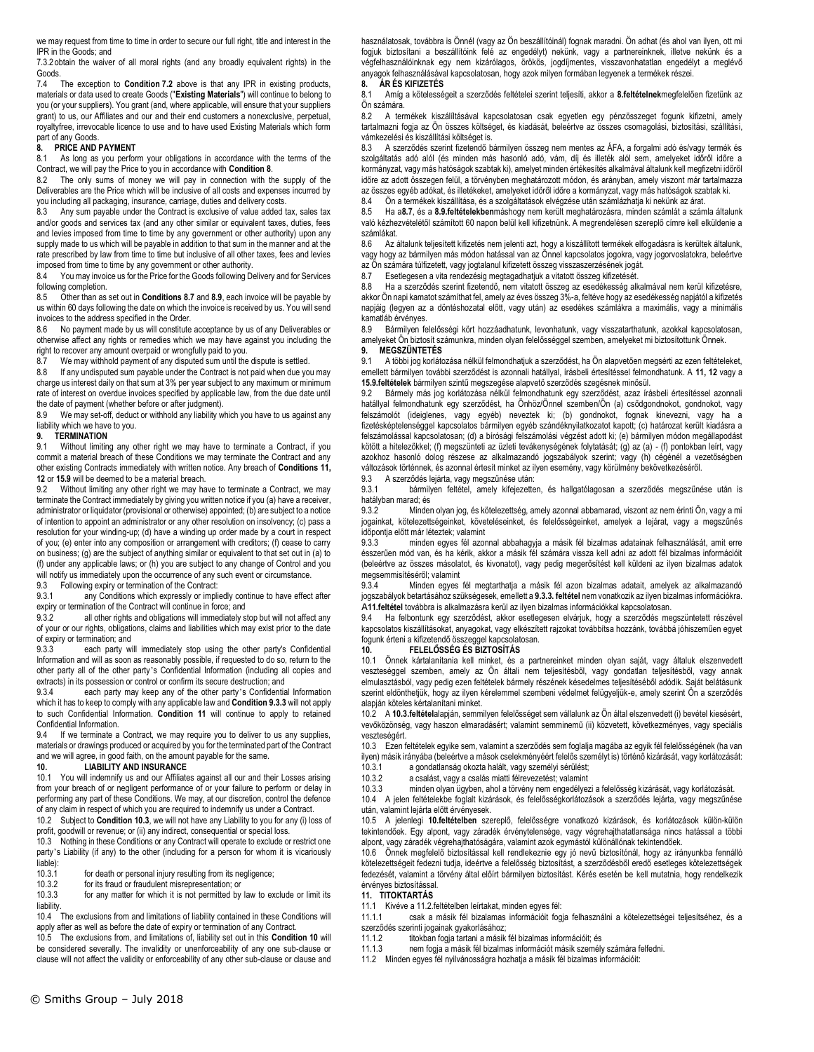we may request from time to time in order to secure our full right, title and interest in the IPR in the Goods; and

7.3.2 obtain the waiver of all moral rights (and any broadly equivalent rights) in the Goods.

7.4 The exception to **Condition 7.2** above is that any IPR in existing products, materials or data used to create Goods ("**Existing Materials**") will continue to belong to you (or your suppliers). You grant (and, where applicable, will ensure that your suppliers grant) to us, our Affiliates and our and their end customers a nonexclusive, perpetual, royaltyfree, irrevocable licence to use and to have used Existing Materials which form part of any Goods

## **8. PRICE AND PAYMENT**<br>8.1 As long as you perfor

As long as you perform your obligations in accordance with the terms of the Contract, we will pay the Price to you in accordance with **Condition 8**.

8.2 The only sums of money we will pay in connection with the supply of the Deliverables are the Price which will be inclusive of all costs and expenses incurred by you including all packaging, insurance, carriage, duties and delivery costs.

8.3 Any sum payable under the Contract is exclusive of value added tax, sales tax and/or goods and services tax (and any other similar or equivalent taxes, duties, fees and levies imposed from time to time by any government or other authority) upon any supply made to us which will be payable in addition to that sum in the manner and at the rate prescribed by law from time to time but inclusive of all other taxes, fees and levies imposed from time to time by any government or other authority.

8.4 You may invoice us for the Price for the Goods following Delivery and for Services following completion.

8.5 Other than as set out in **Conditions 8.7** and **8.9**, each invoice will be payable by us within 60 days following the date on which the invoice is received by us. You will send invoices to the address specified in the Order.

No payment made by us will constitute acceptance by us of any Deliverables or otherwise affect any rights or remedies which we may have against you including the right to recover any amount overpaid or wrongfully paid to you.

8.7 We may withhold payment of any disputed sum until the dispute is settled.

8.8 If any undisputed sum payable under the Contract is not paid when due you may charge us interest daily on that sum at 3% per year subject to any maximum or minimum rate of interest on overdue invoices specified by applicable law, from the due date until the date of payment (whether before or after judgment).

8.9 We may set-off, deduct or withhold any liability which you have to us against any liability which we have to you.

#### **9. TERMINATION**

9.1 Without limiting any other right we may have to terminate a Contract, if you commit a material breach of these Conditions we may terminate the Contract and any other existing Contracts immediately with written notice. Any breach of **Conditions 11, 12** or **15.9** will be deemed to be a material breach.

9.2 Without limiting any other right we may have to terminate a Contract, we may terminate the Contract immediately by giving you written notice if you (a) have a receiver, administrator or liquidator (provisional or otherwise) appointed; (b) are subject to a notice of intention to appoint an administrator or any other resolution on insolvency; (c) pass a resolution for your winding-up; (d) have a winding up order made by a court in respect of you; (e) enter into any composition or arrangement with creditors; (f) cease to carry on business; (g) are the subject of anything similar or equivalent to that set out in (a) to (f) under any applicable laws; or (h) you are subject to any change of Control and you will notify us immediately upon the occurrence of any such event or circumstance. 9.3 Following expiry or termination of the Contract:

9.3.1 any Conditions which expressly or impliedly continue to have effect after expiry or termination of the Contract will continue in force; and<br>9.3.2 all other rights and obligations will immediately s

all other rights and obligations will immediately stop but will not affect any of your or our rights, obligations, claims and liabilities which may exist prior to the date of expiry or termination; and<br>9.3.3 each party wi

each party will immediately stop using the other party's Confidential Information and will as soon as reasonably possible, if requested to do so, return to the other party all of the other party's Confidential Information (including all copies and extracts) in its possession or control or confirm its secure destruction; and

9.3.4 each party may keep any of the other party's Confidential Information which it has to keep to comply with any applicable law and **Condition 9.3.3** will not apply to such Confidential Information. **Condition 11** will continue to apply to retained Confidential Information.

9.4 If we terminate a Contract, we may require you to deliver to us any supplies, materials or drawings produced or acquired by you for the terminated part of the Contract and we will agree, in good faith, on the amount payable for the same.

## **10. LIABILITY AND INSURANCE**

10.1 You will indemnify us and our Affiliates against all our and their Losses arising from your breach of or negligent performance of or your failure to perform or delay in performing any part of these Conditions. We may, at our discretion, control the defence of any claim in respect of which you are required to indemnify us under a Contract.

10.2 Subject to **Condition 10.3**, we will not have any Liability to you for any (i) loss of profit, goodwill or revenue; or (ii) any indirect, consequential or special loss.

10.3 Nothing in these Conditions or any Contract will operate to exclude or restrict one party's Liability (if any) to the other (including for a person for whom it is vicariously  $liable)$ :<br> $10.3.1$ 

10.3.1 for death or personal injury resulting from its negligence;<br>10.3.2 for its fraud or fraudulent misrepresentation; or

for its fraud or fraudulent misrepresentation; or

10.3.3 for any matter for which it is not permitted by law to exclude or limit its liability.

10.4 The exclusions from and limitations of liability contained in these Conditions will apply after as well as before the date of expiry or termination of any Contract.

10.5 The exclusions from, and limitations of, liability set out in this **Condition 10** will be considered severally. The invalidity or unenforceability of any one sub-clause or clause will not affect the validity or enforceability of any other sub-clause or clause and használatosak, továbbra is Önnél (vagy az Ön beszállítóinál) fognak maradni. Ön adhat (és ahol van ilyen, ott mi fogjuk biztosítani a beszállítóink felé az engedélyt) nekünk, vagy a partnereinknek, illetve nekünk és a végfelhasználóinknak egy nem kizárólagos, örökös, jogdíjmentes, visszavonhatatlan engedélyt a meglévő anyagok felhasználásával kapcsolatosan, hogy azok milyen formában legyenek a termékek részei.

#### **8. ÁR ÉS KIFIZETÉS**

8.1 Amíg a kötelességeit a szerződés feltételei szerint teljesíti, akkor a **8.feltételnek**megfelelően fizetünk az Ön számára.

8.2 – A termékek kiszálíltásával kapcsolatosan csak egyetlen egy pénzösszeget fogunk kifizetni, amely<br>tartalmazni fogja az Ön összes költséget, és kiadását, beleértve az összes csomagolási, biztosítási, szállítási, vámkezelési és kiszállítási költséget is.

8.3 A szerződés szerint fizetendő bármilyen összeg nem mentes az ÁFA, a forgalmi adó és/vagy termék és szolgáltatás adó alól (és minden más hasonló adó, vám, díj és illeték alól sem, amelyeket időről időre a kormányzat, vagy más hatóságok szabtak ki), amelyet minden értékesítés alkalmával általunk kell megfizetni időről időre az adott összegen felül, a törvényben meghatározott módon, és arányban, amely viszont már tartalmazza az összes egyéb adókat, és illetékeket, amelyeket időről időre a kormányzat, vagy más hatóságok szabtak ki.

8.4 Ön a termékek kiszállítása, és a szolgáltatások elvégzése után számlázhatja ki nekünk az árat.

8.5 Ha a**8.7**, és a **8.9.feltételekben**máshogy nem került meghatározásra, minden számlát a számla általunk való kézhezvételétől számított 60 napon belül kell kifizetnünk. A megrendelésen szereplő címre kell elküldenie a számlákat.

8.6 Az általunk teljesített kifizetés nem jelenti azt, hogy a kiszállított termékek elfogadásra is kerültek általunk, vagy hogy az bármilyen más módon hatással van az Önnel kapcsolatos jogokra, vagy jogorvoslatokra, beleértve az Ön számára túlfizetett, vagy jogtalanul kifizetett összeg visszaszerzésének jogát.

8.7 Esetlegesen a vita rendezésig megtagadhatjuk a vitatott összeg kifizetését.

8.8 Ha a szerződés szerint fizetendő, nem vitatott összeg az esedékesség alkalmával nem kerül kifizetésre, akkor Ön napi kamatot számíthat fel, amely az éves összeg 3%-a, feltéve hogy az esedékesség napjától a kifizetés napjáig (legyen az a döntéshozatal előtt, vagy után) az esedékes számlákra a maximális, vagy a minimális kamatláb érvényes.

8.9 Bármilyen felelősségi kört hozzáadhatunk, levonhatunk, vagy visszatarthatunk, azokkal kapcsolatosan, amelyeket Ön biztosít számunkra, minden olyan felelősséggel szemben, amelyeket mi biztosítottunk Önnek. **9. MEGSZÜNTETÉS**

9.1 A többi jog korlátozása nélkül felmondhatjuk a szerződést, ha Ön alapvetően megsérti az ezen feltételeket, emellett bármilyen további szerződést is azonnali hatállyal, írásbeli értesítéssel felmondhatunk. A **11, 12** vagy a **15.9.feltételek** bármilyen szintű megszegése alapvető szerződés szegésnek minősül.<br>9.2. Bármely más jog korlátozása nélkül felmondhatunk egy szerződést azaz írá

Bármely más jog korlátozása nélkül felmondhatunk egy szerződést, azaz írásbeli értesítéssel azonnali hatállyal felmondhatunk egy szerződést, ha Önhöz/Önnel szemben/Ön (a) csődgondnokot, gondnokot, vagy felszámolót (ideiglenes, vagy egyéb) neveztek ki; (b) gondnokot, fognak kinevezni, vagy ha a fizetésképtelenséggel kapcsolatos bármilyen egyéb szándéknyilatkozatot kapott; (c) határozat került kiadásra a felszámolással kapcsolatosan; (d) a bírósági felszámolási végzést adott ki; (e) bármilyen módon megállapodást kötött a hitelezőkkel; (f) megszünteti az üzleti tevákenységének folytatását; (g) az (a) - (f) pontokban leírt, vagy azokhoz hasonló dolog részese az alkalmazandó jogszabályok szerint; vagy (h) cégénél a vezetőségben változások történnek, és azonnal értesít minket az ilyen esemény, vagy körülmény bekövetkezéséről.

9.3 A szerződés lejárta, vagy megszűnése után:

9.3.1 bármilyen feltétel, amely kifejezetten, és hallgatólagosan a szerződés megszűnése után is hatályban marad; és

9.3.2 Minden olyan jog, és kötelezettség, amely azonnal abbamarad, viszont az nem érinti Ön, vagy a mi jogainkat, kötelezettségeinket, követeléseinket, és felelősségeinket, amelyek a lejárat, vagy a megszűnés időpontja előtt már léteztek; valamint

9.3.3 minden egyes fél azonnal abbahagyja a másik fél bizalmas adatainak felhasználását, amit erre ésszerűen mód van, és ha kérik, akkor a másik fél számára vissza kell adni az adott fél bizalmas információit (beleértve az összes másolatot, és kivonatot), vagy pedig megerősítést kell küldeni az ilyen bizalmas adatok megsemmisítéséről; valamint

9.3.4 Minden egyes fél megtarthatja a másik fél azon bizalmas adatait, amelyek az alkalmazandó jogszabályok betartásához szükségesek, emellett a **9.3.3. feltétel** nem vonatkozik az ilyen bizalmas információkra. A**11.feltétel** továbbra is alkalmazásra kerül az ilyen bizalmas információkkal kapcsolatosan.

9.4 Ha felbontunk egy szerződést, akkor esetlegesen elvárjuk, hogy a szerződés megszüntetett részével kapcsolatos kiszállításokat, anyagokat, vagy elkészített rajzokat továbbítsa hozzánk, továbbá jóhiszeműen egyet fogunk érteni a kifizetendő összeggel kapcsolatosan.

#### **10. FELELŐSSÉG ÉS BIZTOSÍTÁS**

10.1 Önnek kártalanítania kell minket, és a partnereinket minden olyan saját, vagy általuk elszenvedett veszteséggel szemben, amely az Ön általi nem teljesítésből, vagy gondatlan teljesítésből, vagy annak elmulasztásból, vagy pedig ezen feltételek bármely részének késedelmes teljesítéséből adódik. Saját belátásunk szerint eldönthetjük, hogy az ilyen kérelemmel szembeni védelmet felügyeljük-e, amely szerint Ön a szerződés alapján köteles kértalanítani minket.

10.2 A **10.3.feltétel**alapján, semmilyen felelősséget sem vállalunk az Ön által elszenvedett (i) bevétel kiesésért, vevőközönség, vagy haszon elmaradásért; valamint semminemű (ii) közvetett, következményes, vagy speciális veszteségért.

10.3 Ezen feltételek egyike sem, valamint a szerződés sem foglalja magába az egyik fél felelősségének (ha van ilyen) másik irányába (beleértve a mások cselekményéért felelős személyt is) történő kizárását, vagy korlátozását:

10.3.1 a gondatlanság okozta halált, vagy személyi sérülést;

10.3.2 a csalást, vagy a csalás miatti félrevezetést; valamint minden olyan ügyben, ahol a törvény nem engedélyezi a felelősség kizárását, vagy korlátozását.

10.4 A jelen feltételekbe foglalt kizárások, és felelősségkorlátozások a szerződés lejárta, vagy megszűnése

után, valamint lejárta előtt érvényesek.

10.5 A jelenlegi **10.feltételben** szereplő, felelősségre vonatkozó kizárások, és korlátozások külön-külön tekintendőek. Egy alpont, vagy záradék érvénytelensége, vagy végrehajthatatlansága nincs hatással a többi alpont, vagy záradék végrehajthatóságára, valamint azok egymástól különállónak tekintendőek.

10.6 Önnek megfelelő biztosítással kell rendlekeznie egy jó nevű biztosítónál, hogy az irányunkba fennálló kötelezettségeit fedezni tudja, ideértve a felelősség biztosítást, a szerződésből eredő esetleges kötelezettségek fedezését, valamint a törvény által előírt bármilyen biztosítást. Kérés esetén be kell mutatnia, hogy rendelkezik érvényes biztosítással.

#### **11. TITOKTARTÁS**

11.1 Kivéve a 11.2.feltételben leírtakat, minden egyes fél:

11.1.1 csak a másik fél bizalamas információit fogja felhasználni a kötelezettségei teljesítséhez, és a szerződés szerinti jogainak gyakorlásához;

11.1.2 titokban fogja tartani a másik fél bizalmas információit; és

- 11.1.3 nem fogja a másik fél bizalmas információt másik személy számára felfedni.
- 11.2 Minden egyes fél nyilvánosságra hozhatja a másik fél bizalmas információit: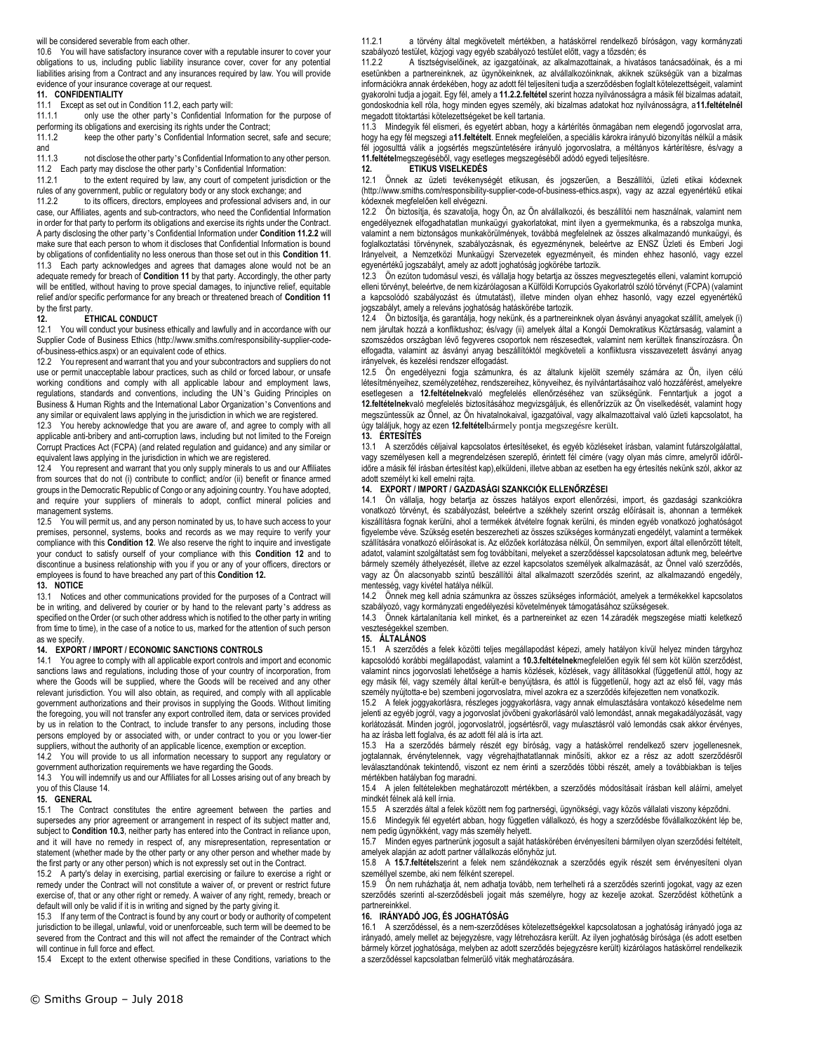#### will be considered severable from each other.

10.6 You will have satisfactory insurance cover with a reputable insurer to cover your obligations to us, including public liability insurance cover, cover for any potential liabilities arising from a Contract and any insurances required by law. You will provide evidence of your insurance coverage at our request.

#### **11. CONFIDENTIALITY**

11.1 Except as set out in Condition 11.2, each party will:

11.1.1 only use the other party's Confidential Information for the purpose of

performing its obligations and exercising its rights under the Contract;<br>11.1.2 keep the other party's Confidential Information secret, keep the other party's Confidential Information secret, safe and secure;

and<br> $1113$ not disclose the other party's Confidential Information to any other person. 11.2 Each party may disclose the other party's Confidential Information:

11.2.1 to the extent required by law, any court of competent jurisdiction or the

rules of any government, public or regulatory body or any stock exchange; and 11.2.2 to its officers, directors, employees and professional advisers and, in our case, our Affiliates, agents and sub-contractors, who need the Confidential Information in order for that party to perform its obligations and exercise its rights under the Contract. A party disclosing the other party's Confidential Information under **Condition 11.2.2** will make sure that each person to whom it discloses that Confidential Information is bound by obligations of confidentiality no less onerous than those set out in this **Condition 11**. 11.3 Each party acknowledges and agrees that damages alone would not be an adequate remedy for breach of **Condition 11** by that party. Accordingly, the other party will be entitled, without having to prove special damages, to injunctive relief, equitable relief and/or specific performance for any breach or threatened breach of **Condition 11**

#### by the first party.<br>12 **12. ETHICAL CONDUCT**

12.1 You will conduct your business ethically and lawfully and in accordance with our Supplier Code of Business Ethics (http://www.smiths.com/responsibility-supplier-codeof-business-ethics.aspx) or an equivalent code of ethics.

12.2 You represent and warrant that you and your subcontractors and suppliers do not use or permit unacceptable labour practices, such as child or forced labour, or unsafe working conditions and comply with all applicable labour and employment laws, regulations, standards and conventions, including the UN's Guiding Principles on Business & Human Rights and the International Labor Organization's Conventions and any similar or equivalent laws applying in the jurisdiction in which we are registered.

12.3 You hereby acknowledge that you are aware of, and agree to comply with all applicable anti-bribery and anti-corruption laws, including but not limited to the Foreign Corrupt Practices Act (FCPA) (and related regulation and guidance) and any similar or equivalent laws applying in the jurisdiction in which we are registered.

12.4 You represent and warrant that you only supply minerals to us and our Affiliates from sources that do not (i) contribute to conflict; and/or (ii) benefit or finance armed groups in the Democratic Republic of Congo or any adjoining country. You have adopted, and require your suppliers of minerals to adopt, conflict mineral policies and management systems.

12.5 You will permit us, and any person nominated by us, to have such access to your premises, personnel, systems, books and records as we may require to verify your compliance with this **Condition 12**. We also reserve the right to inquire and investigate your conduct to satisfy ourself of your compliance with this **Condition 12** and to discontinue a business relationship with you if you or any of your officers, directors or employees is found to have breached any part of this **Condition 12.** 

## **13. NOTICE**

13.1 Notices and other communications provided for the purposes of a Contract will be in writing, and delivered by courier or by hand to the relevant party's address as specified on the Order (or such other address which is notified to the other party in writing from time to time), in the case of a notice to us, marked for the attention of such person as we specify.

## **14. EXPORT / IMPORT / ECONOMIC SANCTIONS CONTROLS**

14.1 You agree to comply with all applicable export controls and import and economic sanctions laws and regulations, including those of your country of incorporation, from where the Goods will be supplied, where the Goods will be received and any other relevant jurisdiction. You will also obtain, as required, and comply with all applicable government authorizations and their provisos in supplying the Goods. Without limiting the foregoing, you will not transfer any export controlled item, data or services provided by us in relation to the Contract, to include transfer to any persons, including those persons employed by or associated with, or under contract to you or you lower-tier suppliers, without the authority of an applicable licence, exemption or exception.

14.2 You will provide to us all information necessary to support any regulatory or government authorization requirements we have regarding the Goods.

14.3 You will indemnify us and our Affiliates for all Losses arising out of any breach by you of this Clause 14.

#### **15. GENERAL**

15.1 The Contract constitutes the entire agreement between the parties and supersedes any prior agreement or arrangement in respect of its subject matter and, subject to **Condition 10.3**, neither party has entered into the Contract in reliance upon, and it will have no remedy in respect of, any misrepresentation, representation or statement (whether made by the other party or any other person and whether made by the first party or any other person) which is not expressly set out in the Contract.

15.2 A party's delay in exercising, partial exercising or failure to exercise a right or remedy under the Contract will not constitute a waiver of, or prevent or restrict future exercise of, that or any other right or remedy. A waiver of any right, remedy, breach or default will only be valid if it is in writing and signed by the party giving it.

15.3 If any term of the Contract is found by any court or body or authority of competent jurisdiction to be illegal, unlawful, void or unenforceable, such term will be deemed to be severed from the Contract and this will not affect the remainder of the Contract which will continue in full force and effect.

15.4 Except to the extent otherwise specified in these Conditions, variations to the

11.2.1 a törvény által megkövetelt mértékben, a hatáskörrel rendelkező bíróságon, vagy kormányzati szabályozó testület, közjogi vagy egyéb szabályozó testület előtt, vagy a tőzsdén; és

A tisztségviselőinek, az igazgatóinak, az alkalmazottainak, a hivatásos tanácsadóinak, és a mi esetünkben a partnereinknek, az ügynökeinknek, az alvállalkozóinknak, akiknek szükségük van a bizalmas információkra annak érdekében, hogy az adott fél teljesíteni tudja a szerződésben foglalt kötelezettségeit, valamint gyakorolni tudja a jogait. Egy fél, amely a **11.2.2.feltétel** szerint hozza nyilvánosságra a másik fél bizalmas adatait, gondoskodnia kell róla, hogy minden egyes személy, aki bizalmas adatokat hoz nyilvánosságra, a**11.feltételnél** megadott titoktartási kötelezettségeket be kell tartania.<br>11.3 Mindegyik fél elismeri, és egyetért abban, hogy

11.3 Mindegyik fél elismeri, és egyetért abban, hogy a kártérítés önmagában nem elegendő jogorvoslat arra, hogy ha egy fél megszegi a**11.feltételt**. Ennek megfelelően, a speciális károkra irányuló bizonyítás nélkül a másik fél jogosulttá válik a jogsértés megszüntetésére irányuló jogorvoslatra, a méltányos kártérítésre, és/vagy a **11.feltétel**megszegéséből, vagy esetleges megszegéséből adódó egyedi teljesítésre.

## **12. ETIKUS VISELKEDÉS**

12.1 Önnek az üzleti tevékenységét etikusan, és jogszerűen, a Beszállítói, üzleti etikai kódexnek (http://www.smiths.com/responsibility-supplier-code-of-business-ethics.aspx), vagy az azzal egyenértékű etikai kódexnek megfelelően kell elvégezni.

12.2 Ön biztosítja, és szavatolja, hogy Ön, az Ön alvállalkozói, és beszállítói nem használnak, valamint nem engedélyeznek elfogadhatatlan munkaügyi gyakorlatokat, mint ilyen a gyermekmunka, és a rabszolga munka, valamint a nem biztonságos munkakörülmények, továbbá megfelelnek az összes alkalmazandó munkaügyi, és foglalkoztatási törvénynek, szabályozásnak, és egyezménynek, beleértve az ENSZ Üzleti és Emberi Jogi Irányelveit, a Nemzetközi Munkaügyi Szervezetek egyezményeit, és minden ehhez hasonló, vagy ezzel egyenértékű jogszabályt, amely az adott joghatóság jogkörébe tartozik.

12.3 Ön ezúton tudomásul veszi, és vállalja hogy betartja az összes megvesztegetés elleni, valamint korrupció elleni törvényt, beleértve, de nem kizárólagosan a Külföldi Korrupciós Gyakorlatról szóló törvényt (FCPA) (valamint a kapcsolódó szabályozást és útmutatást), illetve minden olyan ehhez hasonló, vagy ezzel egyenértékű jogszabályt, amely a releváns joghatóság hatáskörébe tartozik.

12.4 Ön biztosítja, és garantálja, hogy nekünk, és a partnereinknek olyan ásványi anyagokat szállít, amelyek (i) nem járultak hozzá a konfliktushoz; és/vagy (ii) amelyek által a Kongói Demokratikus Köztársaság, valamint a szomszédos országban lévő fegyveres csoportok nem részesedtek, valamint nem kerültek finanszírozásra. Ön elfogadta, valamint az ásványi anyag beszállítóktól megköveteli a konfliktusra visszavezetett ásványi anyag irányelvek, és kezelési rendszer elfogadást.

12.5 Ön engedélyezni fogja számunkra, és az általunk kijelölt személy számára az Ön, ilyen célú létesítményeihez, személyzetéhez, rendszereihez, könyveihez, és nyilvántartásaihoz való hozzáférést, amelyekre esetlegesen a **12.feltételnek**való megfelelés ellenőrzéséhez van szükségünk. Fenntartjuk a jogot a **12.feltételnek**való megfelelés biztosításához megvizsgáljuk, és ellenőrízzük az Ön viselkedését, valamint hogy megszüntessük az Önnel, az Ön hivatalnokaival, igazgatóival, vagy alkalmazottaival való üzleti kapcsolatot, ha úgy találjuk, hogy az ezen **12.feltétel**bármely pontja megszegésre került.

## **13. ÉRTESÍTÉS**

13.1 A szerződés céljaival kapcsolatos értesítéseket, és egyéb közléseket írásban, valamint futárszolgálattal, vagy személyesen kell a megrendelzésen szereplő, érintett fél címére (vagy olyan más címre, amelyről időrőlidőre a másik fél írásban értesítést kap),elküldeni, illetve abban az esetben ha egy értesítés nekünk szól, akkor az adott személyt ki kell emelni rajta.

## **14. EXPORT / IMPORT / GAZDASÁGI SZANKCIÓK ELLENŐRZÉSEI**

14.1 Ön vállalja, hogy betartja az összes hatályos export ellenőrzési, import, és gazdasági szankciókra vonatkozó törvényt, és szabályozást, beleértve a székhely szerint ország előírásait is, ahonnan a termékek kiszállításra fognak kerülni, ahol a termékek átvételre fognak kerülni, és minden egyéb vonatkozó joghatóságot figyelembe véve. Szükség esetén beszerezheti az összes szükséges kormányzati engedélyt, valamint a termékek szállítására vonatkozó előírásokat is. Az előzőek korlátozása nélkül, Ön semmilyen, export által ellenőrzött tételt, adatot, valamint szolgáltatást sem fog továbbítani, melyeket a szerződéssel kapcsolatosan adtunk meg, beleértve bármely személy áthelyezését, illetve az ezzel kapcsolatos személyek alkalmazását, az Önnel való szerződés, vagy az Ön alacsonyabb szintű beszállítói által alkalmazott szerződés szerint, az alkalmazandó engedély, mentesség, vagy kivétel hatálya nélkül.

14.2 Önnek meg kell adnia számunkra az összes szükséges információt, amelyek a termékekkel kapcsolatos szabályozó, vagy kormányzati engedélyezési követelmények támogatásához szükségesek.

14.3 Önnek kártalanítania kell minket, és a partnereinket az ezen 14.záradék megszegése miatti keletkező veszteségekkel szemben.

#### **15. ÁLTALÁNOS**

15.1 A szerződés a felek közötti teljes megállapodást képezi, amely hatályon kívül helyez minden tárgyhoz kapcsolódó korábbi megállapodást, valamint a **10.3.feltételnek**megfelelően egyik fél sem köt külön szerződést, valamint nincs jogorvoslati lehetősége a hamis közlések, közlések, vagy állításokkal (függetlenül attól, hogy az egy másik fél, vagy személy által került-e benyújtásra, és attól is függetlenül, hogy azt az első fél, vagy más személy nyújtotta-e be) szembeni jogorvoslatra, mivel azokra ez a szerződés kifejezetten nem vonatkozik.

15.2 A felek joggyakorlásra, részleges joggyakorlásra, vagy annak elmulasztására vontakozó késedelme nem jelenti az egyéb jogról, vagy a jogorvoslat jövőbeni gyakorlásáról való lemondást, annak megakadályozását, vagy korlátozását. Minden jogról, jogorvoslatról, jogsértésről, vagy mulasztásról való lemondás csak akkor érvényes, ha az írásba lett foglalva, és az adott fél alá is írta azt.

15.3 Ha a szerződés bármely részét egy bíróság, vagy a hatáskörrel rendelkező szerv jogellenesnek, jogtalannak, érvénytelennek, vagy végrehajthatatlannak minősíti, akkor ez a rész az adott szerződésről leválasztandónak tekintendő, viszont ez nem érinti a szerződés többi részét, amely a továbbiakban is teljes mértékben hatályban fog maradni.

15.4 A jelen feltételekben meghatározott mértékben, a szerződés módosításait írásban kell aláírni, amelyet mindkét félnek alá kell írnia.

15.5 A szerzdés által a felek között nem fog partnerségi, ügynökségi, vagy közös vállalati viszony képződni.

15.6 Mindegyik fél egyetért abban, hogy független vállalkozó, és hogy a szerződésbe fővállalkozóként lép be, nem pedig ügynökként, vagy más személy helyett.

15.7 Minden egyes partnerünk jogosult a saját hatáskörében érvényesíteni bármilyen olyan szerződési feltételt, amelyek alapján az adott partner vállalkozás előnyhöz jut.<br>15.8 A 15.7. feltételszerint a felek nem szándékoznal

15.8 A **15.7.feltétel**szerint a felek nem szándékoznak a szerződés egyik részét sem érvényesíteni olyan személlyel szembe, aki nem félként szerepel.

15.9 Ön nem ruházhatja át, nem adhatja tovább, nem terhelheti rá a szerződés szerinti jogokat, vagy az ezen szerződés szerinti al-szerződésbeli jogait más személyre, hogy az kezelje azokat. Szerződést köthetünk a partnereinkkel.

#### **16. IRÁNYADÓ JOG, ÉS JOGHATÓSÁG**

16.1 A szerződéssel, és a nem-szerződéses kötelezettségekkel kapcsolatosan a joghatóság irányadó joga az irányadó, amely mellet az bejegyzésre, vagy létrehozásra került. Az ilyen joghatóság bírósága (és adott esetben bármely körzet joghatósága, melyben az adott szerződés bejegyzésre került) kizárólagos hatáskörrel rendelkezik a szerződéssel kapcsolatban felmerülő viták meghatározására.